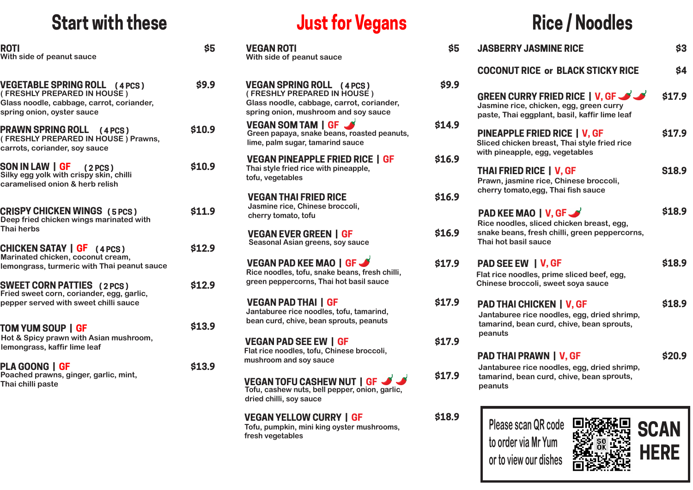### **Start with these**

| ROTI<br>With side of peanut sauce                                                                                                              | \$5    |
|------------------------------------------------------------------------------------------------------------------------------------------------|--------|
| <b>VEGETABLE SPRING ROLL (4 PCS)</b><br>(FRESHLY PREPARED IN HOUSE)<br>Glass noodle, cabbage, carrot, coriander,<br>spring onion, oyster sauce | \$9.9  |
| <b>PRAWN SPRING ROLL (4 PCS)</b><br>(FRESHLY PREPARED IN HOUSE) Prawns,<br>carrots, coriander, soy sauce                                       | \$10.9 |
| SON IN LAW   GF (2PCS)<br>Silky egg yolk with crispy skin, chilli<br>caramelised onion & herb relish                                           | \$10.9 |
| <b>CRISPY CHICKEN WINGS (5 PCS)</b><br>Deep fried chicken wings marinated with<br><b>Thai herbs</b>                                            | \$11.9 |
| <b>CHICKEN SATAY   GF</b> (4 PCS)<br>Marinated chicken, coconut cream,<br>lemongrass, turmeric with Thai peanut sauce                          | \$12.9 |
| <b>SWEET CORN PATTIES (2 PCS)</b><br>Fried sweet corn, coriander, egg, garlic,<br>pepper served with sweet chilli sauce                        | \$12.9 |
| TOM YUM SOUP   GF<br>Hot & Spicy prawn with Asian mushroom,<br>lemongrass, kaffir lime leaf                                                    | \$13.9 |
| PLA GOONG   GF<br>Poached prawns, ginger, garlic, mint,<br>Thai chilli paste                                                                   | \$13.9 |

# **Just for Vegans**

| <u>JUSL IVI VEYAIIS</u>                                                                                                                              |             |
|------------------------------------------------------------------------------------------------------------------------------------------------------|-------------|
| <b>VEGAN ROTI</b><br>With side of peanut sauce                                                                                                       | \$5         |
| <b>VEGAN SPRING ROLL (4 PCS)</b><br>(FRESHLY PREPARED IN HOUSE)<br>Glass noodle, cabbage, carrot, coriander,<br>spring onion, mushroom and soy sauce | <b>S9.9</b> |
| VEGAN SOM TAM   GF<br>Green papaya, snake beans, roasted peanuts,<br>lime, palm sugar, tamarind sauce                                                | \$14.9      |
| <b>VEGAN PINEAPPLE FRIED RICE   GF</b><br>Thai style fried rice with pineapple,<br>tofu, vegetables                                                  | \$16.9      |
| <b>VEGAN THAI FRIED RICE</b><br>Jasmine rice, Chinese broccoli,<br>cherry tomato, tofu                                                               | \$16.9      |
| <b>VEGAN EVER GREEN   GF</b><br>Seasonal Asian greens, soy sauce                                                                                     | \$16.9      |
| <b>VEGAN PAD KEE MAO   GF S</b><br>Rice noodles, tofu, snake beans, fresh chilli,<br>green peppercorns, Thai hot basil sauce                         | \$17.9      |

**VEGAN PAD THAI | GF \$17.9 Jantaburee rice noodles, tofu, tamarind, bean curd, chive, bean sprouts, peanuts**

**VEGAN PAD SEE EW | GF \$17.9 Flat rice noodles, tofu, Chinese broccoli, mushroom and soy sauce**

**VEGAN TOFU CASHEW NUT | GF Tofu, cashew nuts, bell pepper, onion, garlic, dried chilli, soy sauce**

**VEGAN YELLOW CURRY | GF \$18** 

**Tofu, pumpkin, mini king oyster mushrooms, fresh vegetables**

# **Rice / Noodles**

| \$5    | <b>JASBERRY JASMINE RICE</b>                                                                                                         | \$3          |
|--------|--------------------------------------------------------------------------------------------------------------------------------------|--------------|
|        | <b>COCONUT RICE or BLACK STICKY RICE</b>                                                                                             | \$4          |
| \$9.9  | GREEN CURRY FRIED RICE   V. GF<br>Jasmine rice, chicken, egg, green curry<br>paste, Thai eggplant, basil, kaffir lime leaf           | \$17.9       |
| \$14.9 | <b>PINEAPPLE FRIED RICE   V, GF</b><br>Sliced chicken breast, Thai style fried rice<br>with pineapple, egg, vegetables               | \$17.9       |
| \$16.9 | <b>THAI FRIED RICE   V, GF</b><br>Prawn, jasmine rice, Chinese broccoli,                                                             | <b>S18.9</b> |
| \$16.9 | cherry tomato, egg, Thai fish sauce<br><b>PAD KEE MAO   V, GF W</b>                                                                  | \$18.9       |
| \$16.9 | Rice noodles, sliced chicken breast, egg,<br>snake beans, fresh chilli, green peppercorns,<br>Thai hot basil sauce                   |              |
| \$17.9 | <b>PAD SEE EW   V, GF</b><br>Flat rice noodles, prime sliced beef, egg,<br>Chinese broccoli, sweet soya sauce                        | \$18.9       |
| \$17.9 | <b>PAD THAI CHICKEN   V, GF</b><br>Jantaburee rice noodles, egg, dried shrimp,<br>tamarind, bean curd, chive, bean sprouts,          | \$18.9       |
| \$17.9 | peanuts                                                                                                                              |              |
| \$17.9 | <b>PAD THAI PRAWN   V, GF</b><br>Jantaburee rice noodles, egg, dried shrimp,<br>tamarind, bean curd, chive, bean sprouts,<br>peanuts | \$20.9       |
| \$18.9 | Please scan QR code                                                                                                                  |              |

**to order via Mr Yum**

**or to view our dishes** 

**HERE**